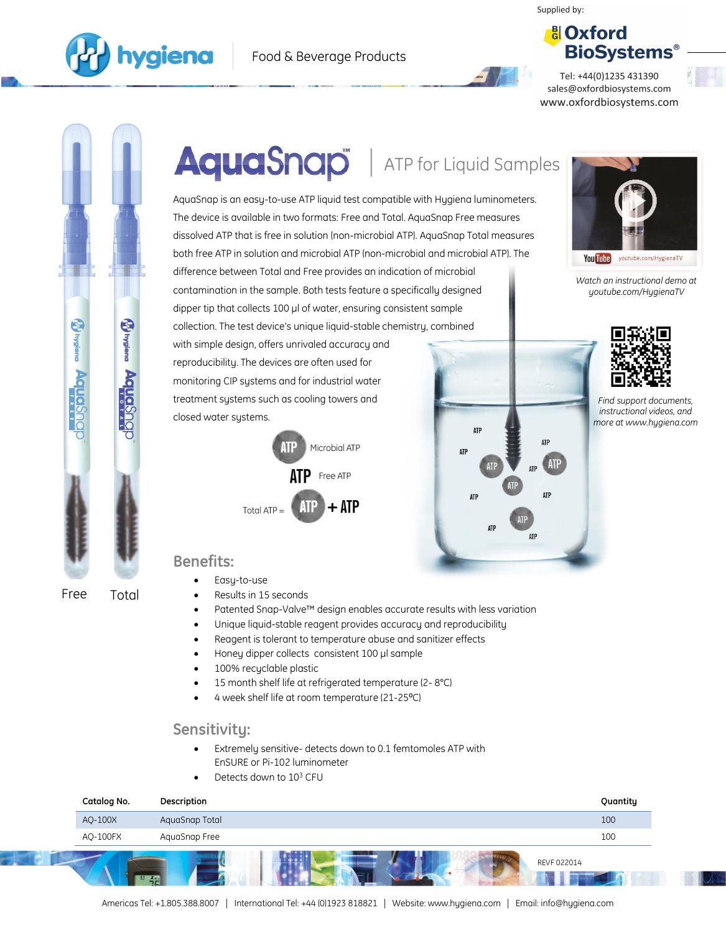Supplied by:





Tel: +44(0)1235 431390 sales@oxfordbiosystems.com www.oxfordbiosystems.com



# AquaSnap | ATP for Liquid Samples

AquaSnap is an easy-to-use ATP liquid test compatible with Hygiena luminometers. The device is available in two formats: Free and Total. AquaSnap Free measures dissolved ATP that is free in solution (non-microbial ATP). AquaSnap Total measures both free ATP in solution and microbial ATP (non-microbial and microbial ATP). The difference between Total and Free provides an indication of microbial contamination in the sample. Both tests feature a specifically designed dipper tip that collects 100 µl of water, ensuring consistent sample collection. The test device's unique liquid-stable chemistry, combined

with simple design, offers unrivaled accuracy and reproducibility. The devices are often used for monitoring CIP systems and for industrial water treatment systems such as cooling towers and closed water systems.







*Watch an instructional demo at youtube.com/HygienaTV*

You Tube youtube.com/HygienaTV

*Find support documents, instructional videos, and more at www.hygiena.com*

# **Benefits:**

- Easy-to-use
- Results in 15 seconds
- Patented Snap-Valve™ design enables accurate results with less variation
- Unique liquid-stable reagent provides accuracy and reproducibility
- Reagent is tolerant to temperature abuse and sanitizer effects
- Honey dipper collects consistent 100 µl sample
- 100% recyclable plastic
- 15 month shelf life at refrigerated temperature (2- 8°C)
- 4 week shelf life at room temperature (21-25°C)

## **Sensitivity:**

- Extremely sensitive- detects down to 0.1 femtomoles ATP with EnSURE or Pi-102 luminometer
- Detects down to 10<sup>3</sup> CFU

| Catalog No. | Description    | Quantity |
|-------------|----------------|----------|
| AQ-100X     | AquaSnap Total | 100      |
| AQ-100FX    | AquaSnap Free  | 100      |
| $X = 0$     | REVF 022014    |          |